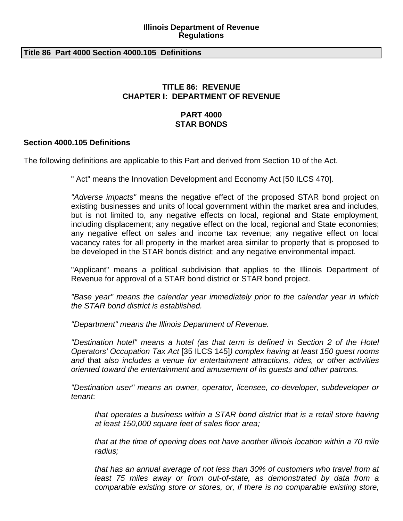#### **Illinois Department of Revenue Regulations**

#### **Title 86 Part 4000 Section 4000.105 Definitions**

# **TITLE 86: REVENUE CHAPTER I: DEPARTMENT OF REVENUE**

# **PART 4000 STAR BONDS**

### **Section 4000.105 Definitions**

The following definitions are applicable to this Part and derived from Section 10 of the Act.

" Act" means the Innovation Development and Economy Act [50 ILCS 470].

*"Adverse impacts"* means the negative effect of the proposed STAR bond project on existing businesses and units of local government within the market area and includes, but is not limited to, any negative effects on local, regional and State employment, including displacement; any negative effect on the local, regional and State economies; any negative effect on sales and income tax revenue; any negative effect on local vacancy rates for all property in the market area similar to property that is proposed to be developed in the STAR bonds district; and any negative environmental impact.

"Applicant" means a political subdivision that applies to the Illinois Department of Revenue for approval of a STAR bond district or STAR bond project.

*"Base year" means the calendar year immediately prior to the calendar year in which the STAR bond district is established.*

*"Department" means the Illinois Department of Revenue.*

*"Destination hotel" means a hotel (as that term is defined in Section 2 of the Hotel Operators' Occupation Tax Act* [35 ILCS 145]*) complex having at least 150 guest rooms and* that *also includes a venue for entertainment attractions, rides, or other activities oriented toward the entertainment and amusement of its guests and other patrons.*

*"Destination user" means an owner, operator, licensee, co-developer, subdeveloper or tenant*:

*that operates a business within a STAR bond district that is a retail store having at least 150,000 square feet of sales floor area;* 

*that at the time of opening does not have another Illinois location within a 70 mile radius;* 

*that has an annual average of not less than 30% of customers who travel from at*  least 75 miles away or from out-of-state, as demonstrated by data from a *comparable existing store or stores, or, if there is no comparable existing store,*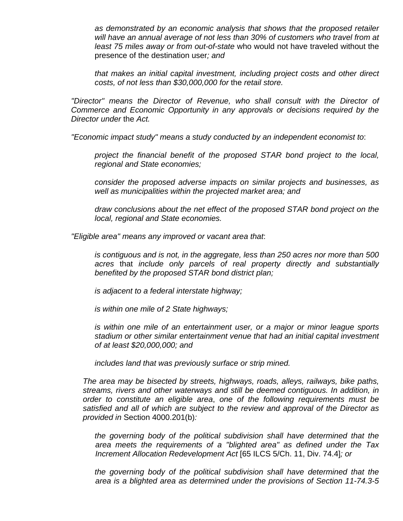*as demonstrated by an economic analysis that shows that the proposed retailer will have an annual average of not less than 30% of customers who travel from at least 75 miles away or from out-of-state* who would not have traveled without the presence of the destination user*; and* 

*that makes an initial capital investment, including project costs and other direct costs, of not less than \$30,000,000 for* the *retail store.* 

*"Director" means the Director of Revenue, who shall consult with the Director of Commerce and Economic Opportunity in any approvals or decisions required by the Director under* the *Act.*

*"Economic impact study" means a study conducted by an independent economist to*:

*project the financial benefit of the proposed STAR bond project to the local, regional and State economies;* 

*consider the proposed adverse impacts on similar projects and businesses, as well as municipalities within the projected market area; and* 

*draw conclusions about the net effect of the proposed STAR bond project on the local, regional and State economies.* 

*"Eligible area" means any improved or vacant area that*:

*is contiguous and is not, in the aggregate, less than 250 acres nor more than 500 acres* that *include only parcels of real property directly and substantially benefited by the proposed STAR bond district plan;* 

*is adjacent to a federal interstate highway;* 

*is within one mile of 2 State highways;* 

*is within one mile of an entertainment user, or a major or minor league sports stadium or other similar entertainment venue that had an initial capital investment of at least \$20,000,000; and* 

*includes land that was previously surface or strip mined.* 

*The area may be bisected by streets, highways, roads, alleys, railways, bike paths, streams, rivers and other waterways and still be deemed contiguous. In addition, in order to constitute an eligible area*, *one of the following requirements must be satisfied and all of which are subject to the review and approval of the Director as provided in* Section 4000.201(b)*:* 

*the governing body of the political subdivision shall have determined that the area meets the requirements of a "blighted area" as defined under the Tax Increment Allocation Redevelopment Act* [65 ILCS 5/Ch. 11, Div. 74.4]*; or* 

*the governing body of the political subdivision shall have determined that the area is a blighted area as determined under the provisions of Section 11-74.3-5*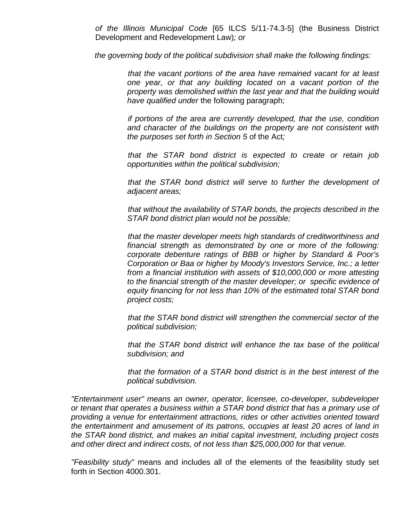*of the Illinois Municipal Code* [65 ILCS 5/11-74.3-5] (the Business District Development and Redevelopment Law)*; or* 

*the governing body of the political subdivision shall make the following findings:* 

*that the vacant portions of the area have remained vacant for at least one year, or that any building located on a vacant portion of the property was demolished within the last year and that the building would have qualified under* the following paragraph*;* 

*if portions of the area are currently developed, that the use, condition and character of the buildings on the property are not consistent with the purposes set forth in Section 5* of the Act*;* 

*that the STAR bond district is expected to create or retain job opportunities within the political subdivision;* 

*that the STAR bond district will serve to further the development of adjacent areas;* 

*that without the availability of STAR bonds, the projects described in the STAR bond district plan would not be possible;* 

*that the master developer meets high standards of creditworthiness and financial strength as demonstrated by one or more of the following: corporate debenture ratings of BBB or higher by Standard & Poor's Corporation or Baa or higher by Moody's Investors Service, Inc.; a letter from a financial institution with assets of \$10,000,000 or more attesting to the financial strength of the master developer; or specific evidence of equity financing for not less than 10% of the estimated total STAR bond project costs;* 

*that the STAR bond district will strengthen the commercial sector of the political subdivision;* 

*that the STAR bond district will enhance the tax base of the political subdivision; and* 

*that the formation of a STAR bond district is in the best interest of the political subdivision.* 

*"Entertainment user" means an owner, operator, licensee, co-developer, subdeveloper or tenant that operates a business within a STAR bond district that has a primary use of providing a venue for entertainment attractions, rides or other activities oriented toward the entertainment and amusement of its patrons, occupies at least 20 acres of land in the STAR bond district, and makes an initial capital investment, including project costs and other direct and indirect costs, of not less than \$25,000,000 for that venue.* 

*"Feasibility study"* means and includes all of the elements of the feasibility study set forth in Section 4000.301.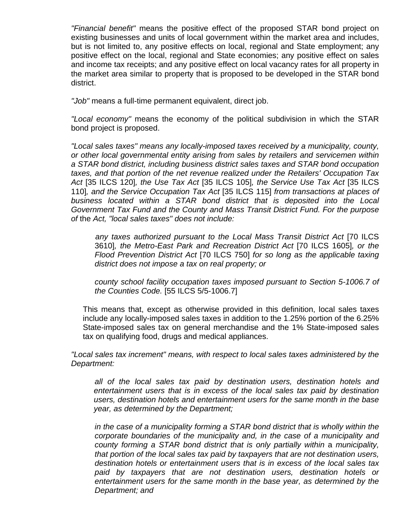*"Financial benefit"* means the positive effect of the proposed STAR bond project on existing businesses and units of local government within the market area and includes, but is not limited to, any positive effects on local, regional and State employment; any positive effect on the local, regional and State economies; any positive effect on sales and income tax receipts; and any positive effect on local vacancy rates for all property in the market area similar to property that is proposed to be developed in the STAR bond district.

*"Job"* means a full-time permanent equivalent, direct job.

*"Local economy"* means the economy of the political subdivision in which the STAR bond project is proposed.

*"Local sales taxes" means any locally-imposed taxes received by a municipality, county, or other local governmental entity arising from sales by retailers and servicemen within a STAR bond district, including business district sales taxes and STAR bond occupation taxes, and that portion of the net revenue realized under the Retailers' Occupation Tax Act* [35 ILCS 120]*, the Use Tax Act* [35 ILCS 105]*, the Service Use Tax Act* [35 ILCS 110]*, and the Service Occupation Tax Act* [35 ILCS 115] *from transactions at places of business located within a STAR bond district that is deposited into the Local Government Tax Fund and the County and Mass Transit District Fund. For the purpose of* the *Act, "local sales taxes" does not include:* 

*any taxes authorized pursuant to the Local Mass Transit District Act* [70 ILCS 3610]*, the Metro-East Park and Recreation District Act* [70 ILCS 1605]*, or the Flood Prevention District Act* [70 ILCS 750] *for so long as the applicable taxing district does not impose a tax on real property; or* 

*county school facility occupation taxes imposed pursuant to Section 5-1006.7 of the Counties Code.* [55 ILCS 5/5-1006.7]

This means that, except as otherwise provided in this definition, local sales taxes include any locally-imposed sales taxes in addition to the 1.25% portion of the 6.25% State-imposed sales tax on general merchandise and the 1% State-imposed sales tax on qualifying food, drugs and medical appliances.

*"Local sales tax increment" means, with respect to local sales taxes administered by the Department:* 

*all of the local sales tax paid by destination users, destination hotels and entertainment users that is in excess of the local sales tax paid by destination users, destination hotels and entertainment users for the same month in the base year, as determined by the Department;* 

*in the case of a municipality forming a STAR bond district that is wholly within the corporate boundaries of the municipality and, in the case of a municipality and county forming a STAR bond district that is only partially within* a *municipality, that portion of the local sales tax paid by taxpayers that are not destination users, destination hotels or entertainment users that is in excess of the local sales tax paid by taxpayers that are not destination users, destination hotels or entertainment users for the same month in the base year, as determined by the Department; and*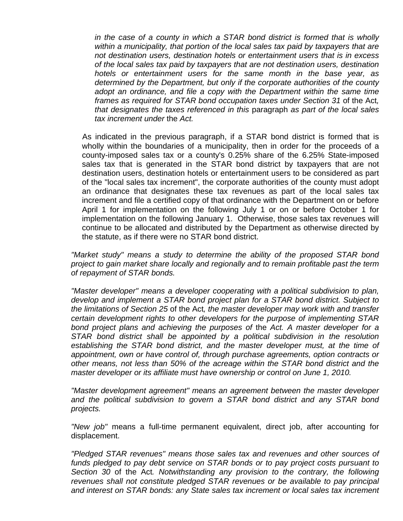*in the case of a county in which a STAR bond district is formed that is wholly within a municipality, that portion of the local sales tax paid by taxpayers that are not destination users, destination hotels or entertainment users that is in excess of the local sales tax paid by taxpayers that are not destination users, destination hotels or entertainment users for the same month in the base year, as determined by the Department, but only if the corporate authorities of the county adopt an ordinance, and file a copy with the Department within the same time frames as required for STAR bond occupation taxes under Section 31* of the Act*, that designates the taxes referenced in this* paragraph *as part of the local sales tax increment under* the *Act.* 

As indicated in the previous paragraph, if a STAR bond district is formed that is wholly within the boundaries of a municipality, then in order for the proceeds of a county-imposed sales tax or a county's 0.25% share of the 6.25% State-imposed sales tax that is generated in the STAR bond district by taxpayers that are not destination users, destination hotels or entertainment users to be considered as part of the "local sales tax increment", the corporate authorities of the county must adopt an ordinance that designates these tax revenues as part of the local sales tax increment and file a certified copy of that ordinance with the Department on or before April 1 for implementation on the following July 1 or on or before October 1 for implementation on the following January 1. Otherwise, those sales tax revenues will continue to be allocated and distributed by the Department as otherwise directed by the statute, as if there were no STAR bond district.

*"Market study" means a study to determine the ability of the proposed STAR bond project to gain market share locally and regionally and to remain profitable past the term of repayment of STAR bonds.* 

*"Master developer" means a developer cooperating with a political subdivision to plan, develop and implement a STAR bond project plan for a STAR bond district. Subject to the limitations of Section 25* of the Act*, the master developer may work with and transfer certain development rights to other developers for the purpose of implementing STAR bond project plans and achieving the purposes of* the *Act. A master developer for a STAR bond district shall be appointed by a political subdivision in the resolution establishing the STAR bond district, and the master developer must, at the time of appointment, own or have control of, through purchase agreements, option contracts or other means, not less than 50% of the acreage within the STAR bond district and the master developer or its affiliate must have ownership or control on June 1, 2010.* 

*"Master development agreement" means an agreement between the master developer and the political subdivision to govern a STAR bond district and any STAR bond projects.* 

*"New job"* means a full-time permanent equivalent, direct job, after accounting for displacement.

*"Pledged STAR revenues" means those sales tax and revenues and other sources of*  funds pledged to pay debt service on STAR bonds or to pay project costs pursuant to *Section 30* of the Act*. Notwithstanding any provision to the contrary, the following revenues shall not constitute pledged STAR revenues or be available to pay principal and interest on STAR bonds: any State sales tax increment or local sales tax increment*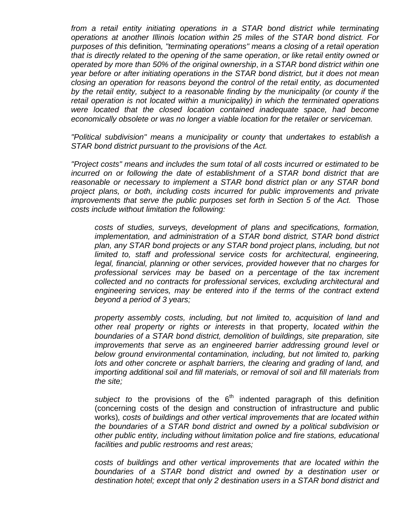from a retail entity initiating operations in a STAR bond district while terminating *operations at another Illinois location within 25 miles of the STAR bond district. For purposes of this* definition*, "terminating operations" means a closing of a retail operation that is directly related to the opening of the same operation*, *or like retail entity owned or operated by more than 50% of the original ownership*, *in a STAR bond district within one year before or after initiating operations in the STAR bond district, but it does not mean closing an operation for reasons beyond the control of the retail entity, as documented*  by the retail entity, subject to a reasonable finding by the municipality (or county if the *retail operation is not located within a municipality) in which the terminated operations were located that the closed location contained inadequate space, had become economically obsolete or was no longer a viable location for the retailer or serviceman.* 

*"Political subdivision" means a municipality or county* that *undertakes to establish a STAR bond district pursuant to the provisions of* the *Act.* 

*"Project costs" means and includes the sum total of all costs incurred or estimated to be incurred on or following the date of establishment of a STAR bond district that are reasonable or necessary to implement a STAR bond district plan or any STAR bond project plans, or both, including costs incurred for public improvements and private improvements that serve the public purposes set forth in Section 5 of the Act.* Those *costs include without limitation the following:* 

*costs of studies, surveys, development of plans and specifications, formation, implementation, and administration of a STAR bond district, STAR bond district plan, any STAR bond projects or any STAR bond project plans, including, but not limited to, staff and professional service costs for architectural, engineering, legal, financial, planning or other services, provided however that no charges for professional services may be based on a percentage of the tax increment collected and no contracts for professional services, excluding architectural and engineering services, may be entered into if the terms of the contract extend beyond a period of 3 years;* 

*property assembly costs, including, but not limited to, acquisition of land and other real property or rights or interests* in that property*, located within the boundaries of a STAR bond district, demolition of buildings, site preparation, site improvements that serve as an engineered barrier addressing ground level or*  below ground environmental contamination, including, but not limited to, parking lots and other concrete or asphalt barriers, the clearing and grading of land, and *importing additional soil and fill materials, or removal of soil and fill materials from the site;* 

subject to the provisions of the 6<sup>th</sup> indented paragraph of this definition (concerning costs of the design and construction of infrastructure and public works)*, costs of buildings and other vertical improvements that are located within the boundaries of a STAR bond district and owned by a political subdivision or other public entity, including without limitation police and fire stations, educational facilities and public restrooms and rest areas;* 

*costs of buildings and other vertical improvements that are located within the boundaries of a STAR bond district and owned by a destination user or destination hotel; except that only 2 destination users in a STAR bond district and*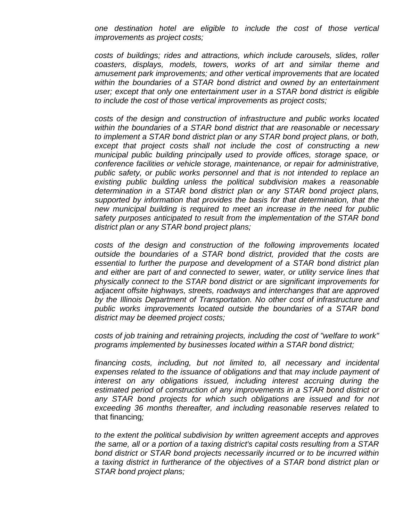*one destination hotel are eligible to include the cost of those vertical improvements as project costs;* 

*costs of buildings; rides and attractions, which include carousels, slides, roller coasters, displays, models, towers, works of art and similar theme and amusement park improvements; and other vertical improvements that are located within the boundaries of a STAR bond district and owned by an entertainment user; except that only one entertainment user in a STAR bond district is eligible to include the cost of those vertical improvements as project costs;* 

*costs of the design and construction of infrastructure and public works located within the boundaries of a STAR bond district that are reasonable or necessary to implement a STAR bond district plan or any STAR bond project plans, or both, except that project costs shall not include the cost of constructing a new municipal public building principally used to provide offices, storage space, or conference facilities or vehicle storage, maintenance, or repair for administrative, public safety, or public works personnel and that is not intended to replace an existing public building unless the political subdivision makes a reasonable determination in a STAR bond district plan or any STAR bond project plans, supported by information that provides the basis for that determination, that the new municipal building is required to meet an increase in the need for public safety purposes anticipated to result from the implementation of the STAR bond district plan or any STAR bond project plans;* 

*costs of the design and construction of the following improvements located outside the boundaries of a STAR bond district, provided that the costs are essential to further the purpose and development of a STAR bond district plan and either* are *part of and connected to sewer, water, or utility service lines that physically connect to the STAR bond district or* are *significant improvements for adjacent offsite highways, streets, roadways and interchanges that are approved by the Illinois Department of Transportation. No other cost of infrastructure and public works improvements located outside the boundaries of a STAR bond district may be deemed project costs;* 

*costs of job training and retraining projects, including the cost of "welfare to work" programs implemented by businesses located within a STAR bond district;* 

*financing costs, including, but not limited to, all necessary and incidental expenses related to the issuance of obligations and* that *may include payment of interest on any obligations issued, including interest accruing during the estimated period of construction of any improvements in a STAR bond district or*  any STAR bond projects for which such obligations are issued and for not *exceeding 36 months thereafter, and including reasonable reserves related* to that financing*;* 

*to the extent the political subdivision by written agreement accepts and approves the same, all or a portion of a taxing district's capital costs resulting from a STAR bond district or STAR bond projects necessarily incurred or to be incurred within a taxing district in furtherance of the objectives of a STAR bond district plan or STAR bond project plans;*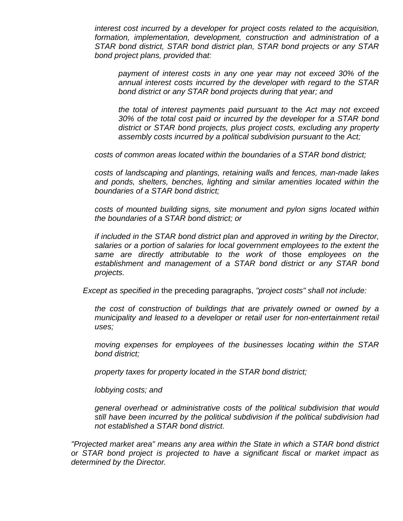*interest cost incurred by a developer for project costs related to the acquisition, formation, implementation, development, construction and administration of a STAR bond district, STAR bond district plan, STAR bond projects or any STAR bond project plans, provided that:* 

*payment of interest costs in any one year may not exceed 30% of the annual interest costs incurred by the developer with regard to the STAR bond district or any STAR bond projects during that year; and* 

*the total of interest payments paid pursuant to* the *Act may not exceed 30% of the total cost paid or incurred by the developer for a STAR bond district or STAR bond projects, plus project costs, excluding any property assembly costs incurred by a political subdivision pursuant to the Act;* 

*costs of common areas located within the boundaries of a STAR bond district;* 

*costs of landscaping and plantings, retaining walls and fences, man-made lakes and ponds, shelters, benches, lighting and similar amenities located within the boundaries of a STAR bond district;* 

*costs of mounted building signs, site monument and pylon signs located within the boundaries of a STAR bond district; or* 

*if included in the STAR bond district plan and approved in writing by the Director, salaries or a portion of salaries for local government employees to the extent the same are directly attributable to the work of* those *employees on the establishment and management of a STAR bond district or any STAR bond projects.* 

*Except as specified in* the preceding paragraphs, *"project costs" shall not include:* 

*the cost of construction of buildings that are privately owned or owned by a municipality and leased to a developer or retail user for non-entertainment retail uses;* 

*moving expenses for employees of the businesses locating within the STAR bond district;* 

*property taxes for property located in the STAR bond district;* 

*lobbying costs; and* 

*general overhead or administrative costs of the political subdivision that would still have been incurred by the political subdivision if the political subdivision had not established a STAR bond district.* 

*"Projected market area" means any area within the State in which a STAR bond district or STAR bond project is projected to have a significant fiscal or market impact as determined by the Director.*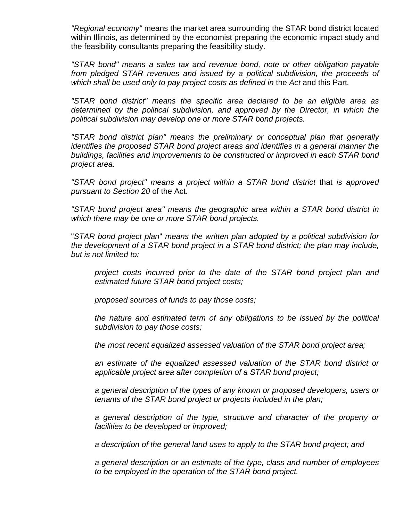*"Regional economy"* means the market area surrounding the STAR bond district located within Illinois, as determined by the economist preparing the economic impact study and the feasibility consultants preparing the feasibility study.

*"STAR bond" means a sales tax and revenue bond, note or other obligation payable from pledged STAR revenues and issued by a political subdivision, the proceeds of which shall be used only to pay project costs as defined in* the *Act* and this Part*.* 

*"STAR bond district" means the specific area declared to be an eligible area as determined by the political subdivision, and approved by the Director, in which the political subdivision may develop one or more STAR bond projects.* 

*"STAR bond district plan" means the preliminary or conceptual plan that generally identifies the proposed STAR bond project areas and identifies in a general manner the buildings, facilities and improvements to be constructed or improved in each STAR bond project area.* 

*"STAR bond project" means a project within a STAR bond district* that *is approved pursuant to Section 20* of the Act*.* 

*"STAR bond project area" means the geographic area within a STAR bond district in which there may be one or more STAR bond projects.* 

"*STAR bond project plan*" *means the written plan adopted by a political subdivision for the development of a STAR bond project in a STAR bond district; the plan may include, but is not limited to:* 

*project costs incurred prior to the date of the STAR bond project plan and estimated future STAR bond project costs;* 

*proposed sources of funds to pay those costs;* 

*the nature and estimated term of any obligations to be issued by the political subdivision to pay those costs;* 

*the most recent equalized assessed valuation of the STAR bond project area;* 

*an estimate of the equalized assessed valuation of the STAR bond district or applicable project area after completion of a STAR bond project;* 

*a general description of the types of any known or proposed developers, users or tenants of the STAR bond project or projects included in the plan;* 

*a general description of the type, structure and character of the property or facilities to be developed or improved;* 

*a description of the general land uses to apply to the STAR bond project; and* 

*a general description or an estimate of the type, class and number of employees to be employed in the operation of the STAR bond project.*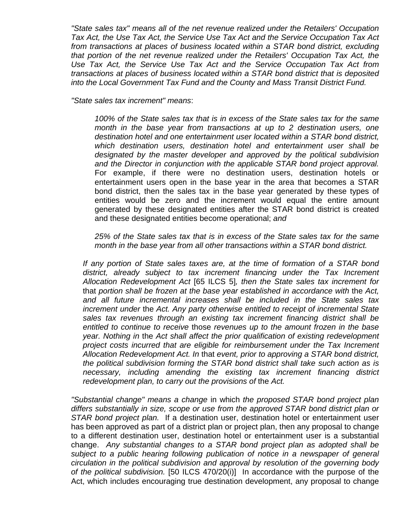*"State sales tax" means all of the net revenue realized under the Retailers' Occupation Tax Act, the Use Tax Act, the Service Use Tax Act and the Service Occupation Tax Act from transactions at places of business located within a STAR bond district, excluding that portion of the net revenue realized under the Retailers' Occupation Tax Act, the Use Tax Act, the Service Use Tax Act and the Service Occupation Tax Act from transactions at places of business located within a STAR bond district that is deposited into the Local Government Tax Fund and the County and Mass Transit District Fund.* 

*"State sales tax increment" means*:

*100% of the State sales tax that is in excess of the State sales tax for the same month in the base year from transactions at up to 2 destination users, one destination hotel and one entertainment user located within a STAR bond district, which destination users, destination hotel and entertainment user shall be designated by the master developer and approved by the political subdivision and the Director in conjunction with the applicable STAR bond project approval.* For example, if there were no destination users, destination hotels or entertainment users open in the base year in the area that becomes a STAR bond district, then the sales tax in the base year generated by these types of entities would be zero and the increment would equal the entire amount generated by these designated entities after the STAR bond district is created and these designated entities become operational; *and* 

*25% of the State sales tax that is in excess of the State sales tax for the same month in the base year from all other transactions within a STAR bond district.* 

*If any portion of State sales taxes are, at the time of formation of a STAR bond district, already subject to tax increment financing under the Tax Increment Allocation Redevelopment Act* [65 ILCS 5]*, then the State sales tax increment for*  that *portion shall be frozen at the base year established in accordance with* the *Act, and all future incremental increases shall be included in the State sales tax increment under* the *Act. Any party otherwise entitled to receipt of incremental State sales tax revenues through an existing tax increment financing district shall be entitled to continue to receive* those *revenues up to the amount frozen in the base year. Nothing in* the *Act shall affect the prior qualification of existing redevelopment project costs incurred that are eligible for reimbursement under the Tax Increment Allocation Redevelopment Act. In* that *event, prior to approving a STAR bond district, the political subdivision forming the STAR bond district shall take such action as is necessary, including amending the existing tax increment financing district redevelopment plan, to carry out the provisions of the Act.* 

*"Substantial change" means a change* in which *the proposed STAR bond project plan differs substantially in size, scope or use from the approved STAR bond district plan or STAR bond project plan.* If a destination user, destination hotel or entertainment user has been approved as part of a district plan or project plan, then any proposal to change to a different destination user, destination hotel or entertainment user is a substantial change. *Any substantial changes to a STAR bond project plan as adopted shall be subject to a public hearing following publication of notice in a newspaper of general circulation in the political subdivision and approval by resolution of the governing body of the political subdivision.* [50 ILCS 470/20(i)] In accordance with the purpose of the Act, which includes encouraging true destination development, any proposal to change